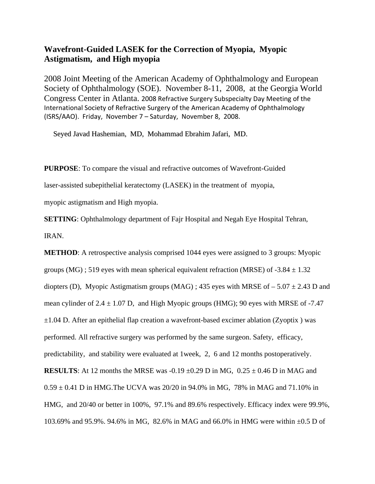## **Wavefront-Guided LASEK for the Correction of Myopia, Myopic Astigmatism, and High myopia**

2008 Joint Meeting of the American Academy of Ophthalmology and European Society of Ophthalmology (SOE). November 8-11, 2008, at the Georgia World Congress Center in Atlanta. 2008 Refractive Surgery Subspecialty Day Meeting of the International Society of Refractive Surgery of the American Academy of Ophthalmology (ISRS/AAO). Friday, November 7 – Saturday, November 8, 2008.

Seyed Javad Hashemian, MD, Mohammad Ebrahim Jafari, MD.

**PURPOSE**: To compare the visual and refractive outcomes of Wavefront-Guided

laser-assisted subepithelial keratectomy (LASEK) in the treatment of myopia,

myopic astigmatism and High myopia.

**SETTING**: Ophthalmology department of Fajr Hospital and Negah Eye Hospital Tehran,

IRAN.

**METHOD**: A retrospective analysis comprised 1044 eyes were assigned to 3 groups: Myopic groups (MG) ; 519 eyes with mean spherical equivalent refraction (MRSE) of  $-3.84 \pm 1.32$ diopters (D), Myopic Astigmatism groups (MAG) ; 435 eyes with MRSE of  $-5.07 \pm 2.43$  D and mean cylinder of  $2.4 \pm 1.07$  D, and High Myopic groups (HMG); 90 eyes with MRSE of -7.47  $\pm 1.04$  D. After an epithelial flap creation a wavefront-based excimer ablation (Zyoptix) was performed. All refractive surgery was performed by the same surgeon. Safety, efficacy, predictability, and stability were evaluated at 1week, 2, 6 and 12 months postoperatively. **RESULTS:** At 12 months the MRSE was  $-0.19 \pm 0.29$  D in MG,  $0.25 \pm 0.46$  D in MAG and  $0.59 \pm 0.41$  D in HMG. The UCVA was 20/20 in 94.0% in MG, 78% in MAG and 71.10% in HMG, and 20/40 or better in 100%, 97.1% and 89.6% respectively. Efficacy index were 99.9%, 103.69% and 95.9%. 94.6% in MG, 82.6% in MAG and 66.0% in HMG were within ±0.5 D of